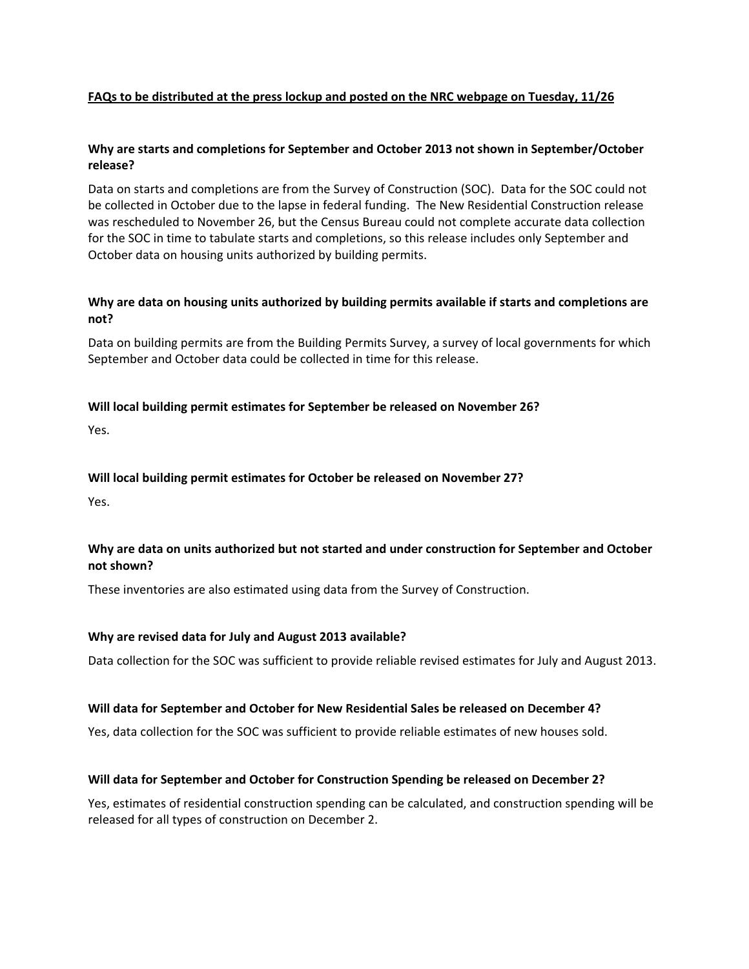### **FAQs to be distributed at the press lockup and posted on the NRC webpage on Tuesday, 11/26**

## **Why are starts and completions for September and October 2013 not shown in September/October release?**

Data on starts and completions are from the Survey of Construction (SOC). Data for the SOC could not be collected in October due to the lapse in federal funding. The New Residential Construction release was rescheduled to November 26, but the Census Bureau could not complete accurate data collection for the SOC in time to tabulate starts and completions, so this release includes only September and October data on housing units authorized by building permits.

## **Why are data on housing units authorized by building permits available if starts and completions are not?**

Data on building permits are from the Building Permits Survey, a survey of local governments for which September and October data could be collected in time for this release.

### **Will local building permit estimates for September be released on November 26?**

Yes.

### **Will local building permit estimates for October be released on November 27?**

Yes.

## **Why are data on units authorized but not started and under construction for September and October not shown?**

These inventories are also estimated using data from the Survey of Construction.

### **Why are revised data for July and August 2013 available?**

Data collection for the SOC was sufficient to provide reliable revised estimates for July and August 2013.

### **Will data for September and October for New Residential Sales be released on December 4?**

Yes, data collection for the SOC was sufficient to provide reliable estimates of new houses sold.

### **Will data for September and October for Construction Spending be released on December 2?**

Yes, estimates of residential construction spending can be calculated, and construction spending will be released for all types of construction on December 2.